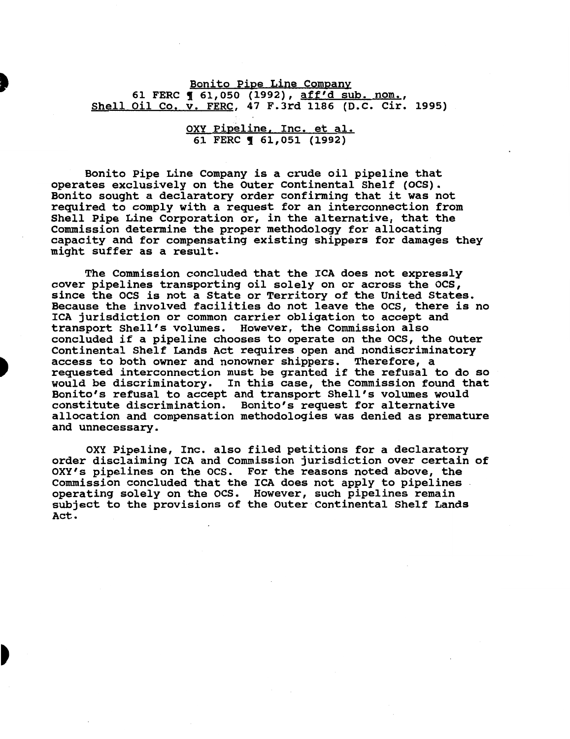Bonito Pipe Line Company 61 FERC 1 61,050 (1992), aff'd sub. nom., Shell Oil Co. v. FERC, 47 F.Jrd 1186 (D.C. Cir. 1995)

> OXY Pipeline, Inc. et al. 61 FERC **161,051 (1992)**

Bonito Pipe Line Company is a crude oil pipeline that operates exclusively on the Outer Continental Shelf (OCS). Bonito sought a declaratory order confirming that it was not required to comply with a request for an interconnection from Shell Pipe Line Corporation or, in the alternative, that the Commission determine the proper methodology for allocating capacity and for compensating existing shippers for damages they might suffer as a result.

The Commission concluded that the ICA does not expressly cover pipelines transporting oil solely on or across the ocs, since the OCS is not a State or Territory of the United States. Because the involved facilities do not leave the OCS, there is no ICA jurisdiction or common carrier obligation to accept and transport Shell's volumes. However, the Commission also concluded if a pipeline chooses to operate on the ocs, the outer Continental Shelf Lands Act requires open and nondiscriminatory access to both owner and nonowner shippers. Therefore, a requested interconnection must be granted if the refusal to do so would be discriminatory. In this case, the Commission found that Bonito's refusal to accept and transport Shell's volumes would constitute discrimination. Bonito's request for alternative allocation and compensation methodologies was denied as premature and unnecessary.

OXY Pipeline, Inc. also filed petitions for a declaratory order disclaiming ICA and Commission jurisdiction over certain of OXY's pipelines on the ocs. For the reasons noted above, the Commission concluded that the ICA does not apply to pipelines operating solely on the ocs. However, such pipelines remain subject to the provisions of the outer Continental Shelf Lands Act.

D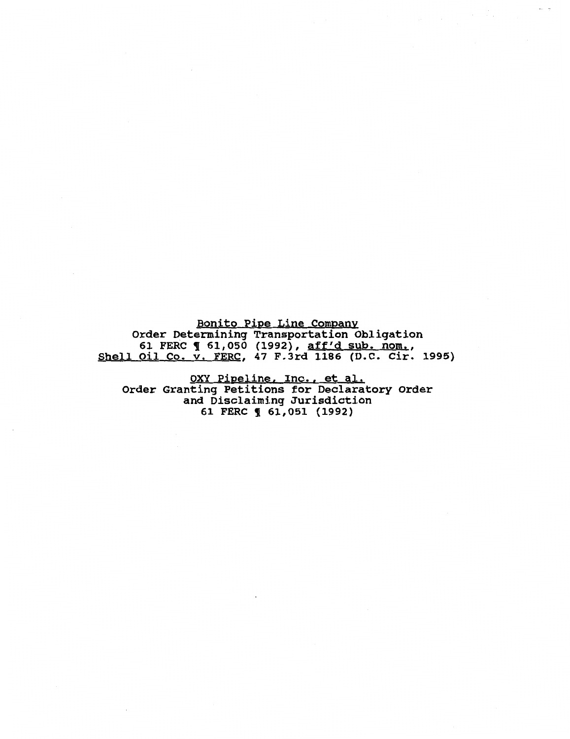Bonito Pipe Line Company Order Determining Transportation Obligation Fact Becommining framsportation corregacion.<br>61 FERC ¶ 61,050 (1992), <u>aff'd sub. nom.</u>, Shell Oil Co. v. FERC, 47 F.3rd 1186 (D.C. Cir. 1995)

OXY Pipeline, Inc., et al. Order Granting Petitions for Declaratory Order and Disclaiming Jurisdiction 61 FERC ! 61,051 (1992)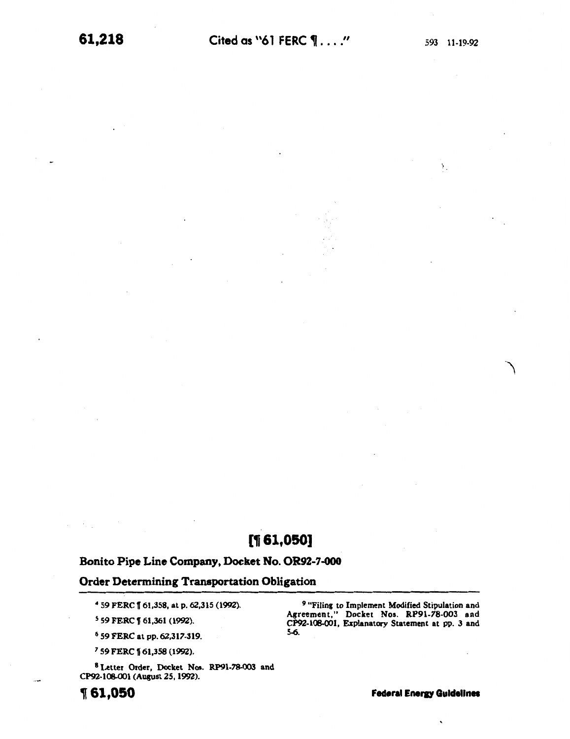$\Sigma$ 

.'\

# $[$ 1,050]

# Bonito Pipe Line Company, Docket No. OR92-7-000

# Order Determining Transportation Obligation

<sup>4</sup>59 FERC 1[61,358, at p. 62,315 (1992).

<sup>5</sup> 59 FERC 1 61,361 (1992).

<sup>6</sup>59 FERC at pp. 62,317-319.

<sup>7</sup> 59 FERC 1 61,358 (1992).

8 Letter Order, Docket Nos. RP91-78-003 and CP92-108-001 (August 25, 1992).

 $\mathcal{H}_{\rm{c}}(\mathcal{C})$ 

*<sup>9</sup>*"Filing to Implement Modified Stipulation and Agreement," Docket Nos. RP91-78-003 and CP92-108-001, Explanatory Statement at pp. 3 and 5-6.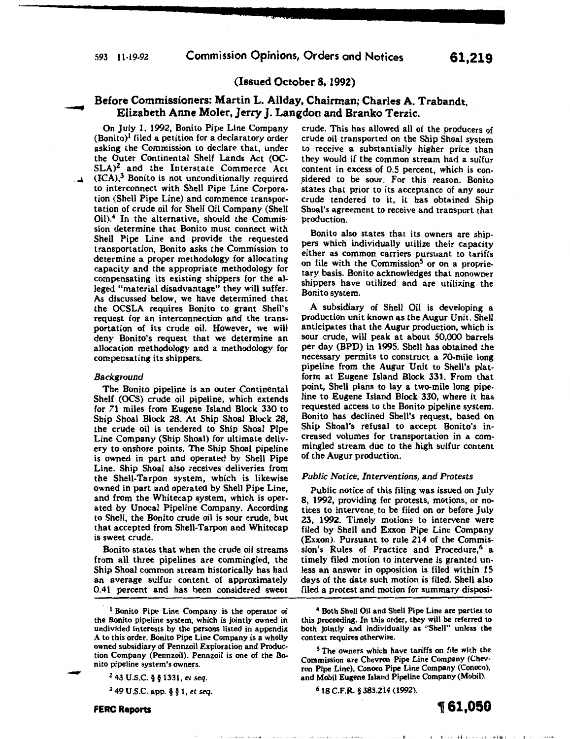## (Issued October 8, 1992)

# Before Commissioners: Martin L. Allday, Chairman; Charles A. Trabandt, Elizabeth Anne Moler, Jerry J. Langdon and Branko Terzic.

On July 1, 1992, Bonito Pipe Line Company  $(Bonito)<sup>1</sup>$  filed a petition for a declaratory order asking the Commission to declare that, under the Outer Continental Shelf Lands Act (OC- $SLA$ <sup>2</sup> and the Interstate Commerce Act  $(ICA)<sup>3</sup>$  Bonito is not unconditionally required to interconnect with Shell Pipe Line Corporation (Shell Pipe Line) and commence transportation of crude oil for Shell Oil Company (Shell Oil).4 In the alternative, should the Commission determine that Bonito must connect with Shell Pipe Line and provide the requested transportation, Bonito asks the Commission to determine a proper methodology for allocating capacity and the appropriate methodology for compensating its existing shippers for the alleged "material disadvantage" they will suffer. As discussed below, we have determined that the OCSLA requires Bonito to grant Shell's request for an interconnection and the transportation of its crude oil. However, we will deny Bonito's request that we determine an allocation methodology and a methodology for compensating its shippers.

#### *Background*

The Bonito pipeline is an outer Continental Shelf (OCS) crude oil pipeline, which extends for 71 miles from Eugene Island Block 330 to Ship Shoal Block 28. At Ship Shoal Block 28, the crude oil is tendered to Ship Shoal Pipe Line Company (Ship Shoal) for ultimate delivery to onshore points. The Ship Shoal pipeline is owned in part and operated by Shell Pipe Line. Ship Shoal also receives deliveries from the Shell-Tarpon system, which is likewise owned in part and operated by Shell Pipe Line, and from the Whitecap system, which is operated by Unocal Pipeline Company. According to Shell, the Bonito crude oil is sour crude, but that accepted from Shell-Tarpon and Whitecap is sweet crude.

Bonito states that when the crude oil streams from all three pipelines are commingled, the Ship Shoal common stream historically has had an average sulfur content of approximately 0.41 percent and has been considered sweet

of complete recent 4

3 49 U.S.C. app. § § 1, *et seq.* 

crude. This has allowed all of the producers of crude oil transported on the Ship Shoal system to receive a substantially higher price than they would if the common stream had a sulfur content in excess of 0.5 percent, which is con sidered to be sour. For this reason, Bonito states that prior to its acceptance of any sour crude tendered to it, it has obtained Ship Shoal's agreement to receive and transport that production.

Bonito also states that its owners are shippers which individually utilize their capacity either as common carriers pursuant to tariffs on file with the Commission<sup>5</sup> or on a proprietary basis. Bonito acknowledges that nonowner shippers have utilized and are utilizing the Bonito system.

A subsidiary of Shell Oil is developing a production unit known as the Augur Unit. Shell anticipates that the Augur production, which is sour crude, will peak at about 50,000 barrels per day (BPD) in 1995. Shell has obtained the necessary permits to construct a 70-mile long pipeline from the Augur Unit to Shell's platform at Eugene Island Block 331. From that point, Shell plans to lay a two-mile long pipeline to Eugene Island Block 330, where it has requested access to the Bonito pipeline system. Bonito has declined Shell's request, based on Ship Shoal's refusal to accept Bonito's increased volumes for transportation in a commingled stream due to the high sulfur content of the Augur production.

#### *Public Notice, Interventions,* and *Protests*

Public notice of this filing was issued on July 8, 1992, providing for protests, motions, or notices to intervene. to be filed on or before July 23, 1992. Timely motions to intervene were filed by Shell and Exxon Pipe Line Company (Exxon). Pursuant to rule 214 of the Commission's Rules of Practice and Procedure,<sup>6</sup> a timely filed motion to intervene is granted unless an answer in opposition is filed within 15 days of the date such motion is filed. Shell also filed a protest and motion for summary disposi-

6 18 C.F.R. § 385.214 (1992).



-

# , **61,050**

Brown and the first control of the Little Control of the Con-

<sup>1</sup> Bonito Pipe Line Company is the operator of the Bonito pipeline system, which is jointly owned in undivided interests by the persons listed in appendix A to this order. Bonito Pipe Line Company is a wholly owned subsidiary of Pennzoil Exploration and Production Company (Pennzoil). Pennzoil is one of the Bonito pipeline system's owners.

<sup>2 43</sup> U.S.C. § § 1331, *et seq.* 

<sup>4</sup> Both Shell Oil and Shell Pipe Line are parties to this proceeding. In this order, they will be referred to both jointly and individually as "Shell" unless the context requires otherwise.

The owners which have tariffs on file with the Commission are Chevron Pipe Line Company (Chev· ron Pipe Line), Conoco Pipe Line Company (Conoco), and Mobil Eugene Island Pipeline Company (Mobil).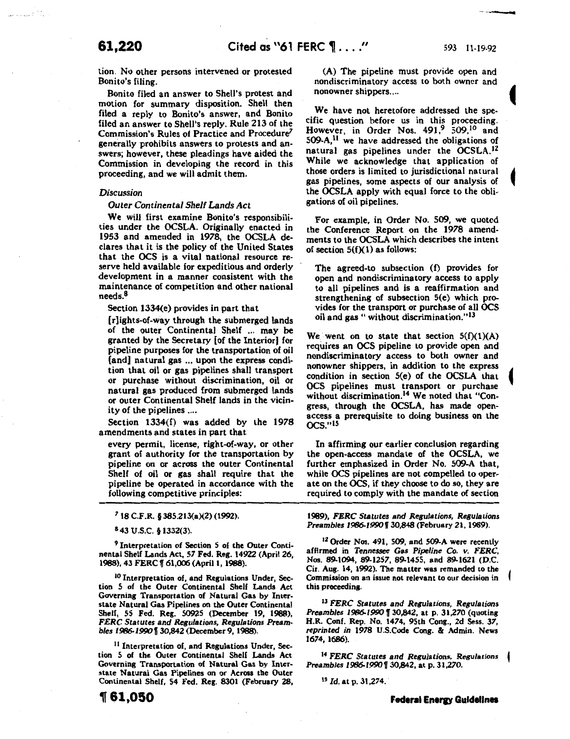----

tion. No other persons intervened or protested Bonito's filing.

Bonito filed an answer to Shell's protest and motion for summary disposition. Shell then filed a reply to Bonito's answer, and Bonito filed an answer to Shell's reply. Rule 213 of the Commission's Rules of Practice and Procedure<sup>7</sup> generally prohibits answers to protests and answers; however, these pleadings have aided the Commission in developing the record in this proceeding, and we will admit them.

#### *Discussion*

#### *Outer Continental Shelf Lands Act*

We will first examine Bonito's responsibilities under the OCSLA. Originally enacted in 1953 and amended in 1978, the OCSLA declares that it is the policy of the United States that the OCS is a vital national resource reserve held available for expeditious and orderly development in a manner consistent with the maintenance of competition and other national needs.8

Section 1334(e) provides in part that

[r]ights-of-way through the submerged lands of the outer Continental Shelf ... may be granted by the Secretary [of the Interior] for pipeline purposes for the transportation of oil [and] natural gas ... upon the express condition that oil or gas pipelines shall transport or purchase without discrimination, oil or natural gas produced from submerged lands or outer Continental Shelf lands in the vicinity of the pipelines ....

Section 1334(f) was added by the 1978 amendments and states in part that

every permit, license, right-of-way, or other grant of authority for the transportation by pipeline on or across the outer Continental Shelf of oil or gas shall require that the pipeline be operated in accordance with the following competitive principles:

*7* 18 C.F.R. § 385.213(a)(2) (1992).

8 43 u.s.c. § 1332(3).

*<sup>9</sup>*Interpretation of Section 5 of the Outer Continental Shelf Lands Act, *57* Fed. Reg. 14922 (April 26, 1988), 43 FERC 1f 61,006 (April 1, 1988).

<sup>10</sup> Interpretation of, and Regulations Under, Section 5 of the Outer Continental Shelf Lands Act Governing Transportation of Natural Gas by Interstate Natural Gas Pipelines on the Outer Continental Shelf, 55 Fed. Reg. 50925 (December 19, 1988), *FERC Statutes and Regulations, Regulations Preambles 1986-1990* [ 30,842 (December 9, 1988).

<sup>11</sup> Interpretation of, and Regulations Under, Section 5 of the Outer Continental Shelf Lands Act Governing Transportation of Natural Gas by Interstate Natural Gas Pipelines on or Across the Outer Continental Shelf, 54 Fed. Reg. 8301 (February 28,

(A) The pipeline must provide open and nondiscriminatory access to both owner and nonowner shippers....

We have not heretofore addressed the specific question before us in this proceeding. However, in Order Nos. 491,<sup>9</sup> 509,<sup>10</sup> and 509-A,11 we have addressed the obligations of natural gas pipelines under the OCSLA.12 While we acknowledge that application of those orders is limited to jurisdictional natural gas pipelines, some aspects of our analysis of the OCSLA apply with equal force to the obligations of oil pipelines.

For example, in Order No. 509, we quoted the Conference Report on the 1978 amendments to the OCSLA which describes the intent of section  $5(f)(1)$  as follows:

The agreed-to subsection (f) provides for open and nondiscriminatory access to apply to all pipelines and is a reaffirmation and strengthening of subsection S(e) which provides for the transport or purchase of all OCS oil and gas " without discrimination."<sup>13</sup>

We went on to state that section  $5(f)(1)(A)$ requires an OCS pipeline to provide open and nondiscriminatory access to both owner and nonowner shippers, in addition to the express condition in section 5(e) of the OCSLA that OCS pipelines must transport or purchase without discrimination.14 We noted that "Congress, through the OCSLA, has made openaccess a prerequisite to doing business on the OCS."IS

In affirming our earlier conclusion regarding the open-access mandate of the OCSLA, we further emphasized in Order No. 509-A that, while OCS pipelines are not compelled to operate on the OCS, if they choose to do so, they are required to comply with the mandate of section

1989), *FERC Statutes and Regulations, Regulations Preambles 1986-1990130,848* (February 21, 1989).

<sup>12</sup> Order Nos. 491, 509, and 509-A were recently affirmed in *Tennessee Gas Pipeline Co. v. FERC,*  Nos. 89-1094, 89-1257, 89-1455, and 89-1621 (D.C. Cir. Aug. 14, 1992). The matter was remanded to the Commission on an issue not relevant to our decision in this proceeding.

<sup>13</sup>*FERC Statutes and Regulations, Regulations Preambles 1986-1990* f 30,842, at p. 31,270 (quoting H.R. Conf. Rep. No. 1474, 95th Cong., 2d Sess. 37, *reprinted in* 1978 U.S.Code Cong. & Admin. News *1674,* 1686).

<sup>14</sup>*FERC Statutes and Regulations, Regulations Preambles 1986-1990130,842,* at p. *31,270.* 

IS *ld.* at p. 31,274.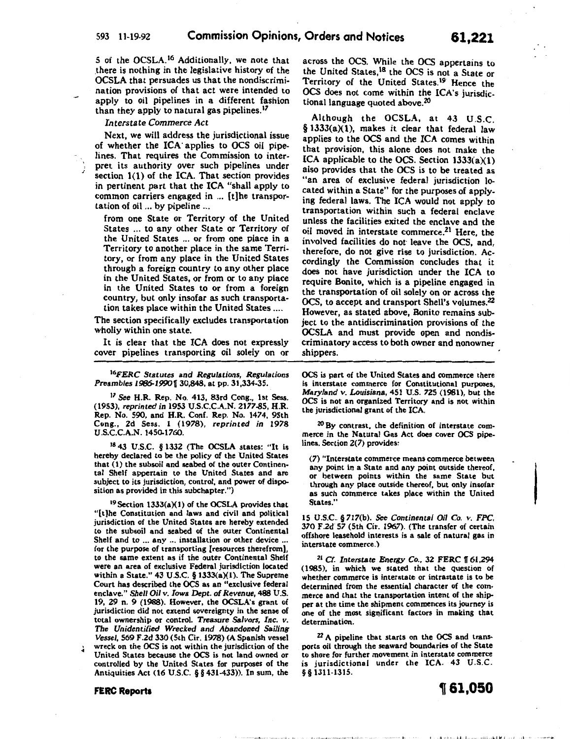5 of the OCSLA. 16 Additionally, we note that .there is nothing in the legislative history of the OCSLA that persuades us that the nondiscrimination provisions of that act were intended to apply to oil pipelines in a different fashion than they apply to natural gas pipelines.<sup>17</sup>

*Interstate Commerce Act* 

Next, we will address the jurisdictional issue of whether the ICA· applies to OCS oil pipelines. That requires the Commission to interpret its authority over such pipelines under section 1(1) of the ICA. That section provides in pertinent part that the ICA "shall apply to common carriers engaged in ... [t]he transportation of oil ... by pipeline ...

from one State or Territory of the United States ... to any other State or Territory of the United States ... or from one place in a Territory to another place in the same Territory, or from any place in the United States through a foreign country to any other place in the United States, or from or to any place in the United States to or from a foreign country, but only insofar as such transportation takes place within the United States ....

The section specifically excludes transportation wholly within one state.

It is clear that the ICA does not expressly cover pipelines transporting oil solely on or

*l6FERC Statutes* and *Regulations, Regulations Preambles 1986-19901{30,848,* at pp. 31,334-35.

<sup>17</sup>*See* H.R. Rep. No. 413, 83rd Cong., 1st Sess. (1953), *reprinted in* 1953 U.S.C.C.A.N. 2177~5, H.R. Rep. No. 590, and H.R. Conf. Rep. No. 1474, 95th Cong., 2d Sess. 1 (1978), *reprinted in* 1978 U.S.C.C.A.N. 1450-1760.

1843 U.S.C. § 1332 (The OCSLA states: "It is hereby declared to be the policy of the United States that (1) the subsoil and seabed of the outer Continental Shelf appertain to the United States and are subject to its jurisdiction, control, and power of disposition as provided in this subchapter.")

19 Section 1333(a)(1) of the OCSLA provides that "[t]he Constitution and laws and civil and political jurisdiction of the United States are hereby extended to the subsoil and seabed of the outer Continental Shelf and to ... any ... installation or other device ... for the purpose of transporting [resources therefrom] to the same extent as if the outer Continental Shelf were an area of exclusive Federal jurisdiction located within a State." 43 U.S.C. § 1333(a)(1). The Supreme Court has described the OCS as an "exclusive federal enclave." *Shell Oil v. Iowa Dept. of Revenue,* 488 U.S. 19, 29 n. 9 (1988). However, the OCSLA's grant of jurisdiction did not extend sovereignty in the sense of total ownership or control. *Treasure Salvors, Inc. v. The Unidentified Wrecked and Abandoned Sailing Vessel,* 569 F.2d 330 (5th Cir. 1978) (A Spanish vessel

.. wreck on the OCS is not within the jurisdiction of the United States because the OCS is not land owned or controlled by the United States for purposes of the Antiquities Act (16 U.S.C. § § 431-433)). In sum, the

**FERC Reports** 

across the OCS. While the OCS appertains to the United States,<sup>18</sup> the OCS is not a State or Territory of the United States.<sup>19</sup> Hence the OCS does not come within the ICA's jurisdictional language quoted above.20

Although the OCSLA, at 43 U.S.C. § 1333(a)(1), makes it clear that federal law applies to the OCS and the ICA comes within that provision, this alone does not make the ICA applicable to the OCS. Section 1333(a)(l) also provides that the OCS is to be treated as "an area of exclusive federal jurisdiction located within a State" for the purposes of applying federal laws. The ICA would not apply to transportation within such a federal enclave unless the facilities exited the enclave and the oil moved in interstate commerce.<sup>21</sup> Here, the involved facilities do not leave the OCS, and, therefore, do not give rise to jurisdiction. Accordingly the Commission concludes that it does not have jurisdiction under the ICA to require Bonito, which is a pipeline engaged in the transportation of oil solely on or across the OCS, to accept and transport Shell's volumes.<sup>22</sup> However, as stated above, Bonito remains subject to the antidiscrimination provisions of the OCSLA and must provide open and nondiscriminatory access to both owner and nonowner shippers.

OCS is part of the United States and commerce there is interstate commerce for Constitutional purposes, *Maryland v. Louisiana,* 451 U.S. 725 (1981), but the OCS is not an organized Territory and is not within the jurisdictional grant of the ICA.

20 By contrast, the definition of interstate commerce in the Natural Gas Act does cover OCS pipelines. Section 2(7) provides:

(7) "Interstate commerce means commerce between any point in a State and any point outside thereof, or between points within the same State but through any place outside thereof, but only insofar as such commerce takes place within the United States."

15 U.S.C. § 717(b). *See Continental Oil Co. v. FPC,*  370 F.2d. 57 (5th Cir. 1967). (The transfer of certain offshore leasehold interests is a sale of natural gas in interstate commerce.)

<sup>21</sup> Cf. Interstate Energy Co., 32 FERC 161,294 (1985), in which we stated that the question of whether commerce is interstate or intrastate is to be determined from the essential character of the commerce and that the transportation intent of the shipper at the time the shipment commences its journey is one of the most significant factors in making that determination.

22 A pipeline that starts on the OCS and transports oil through the seaward boundaries of the State to shore for further movement in interstate commerce is jurisdictional under the ICA. 43 U.S.C. § § 1311-1315.



office to condition to a concentral condition of the control of the

 $\overline{\phantom{a}}$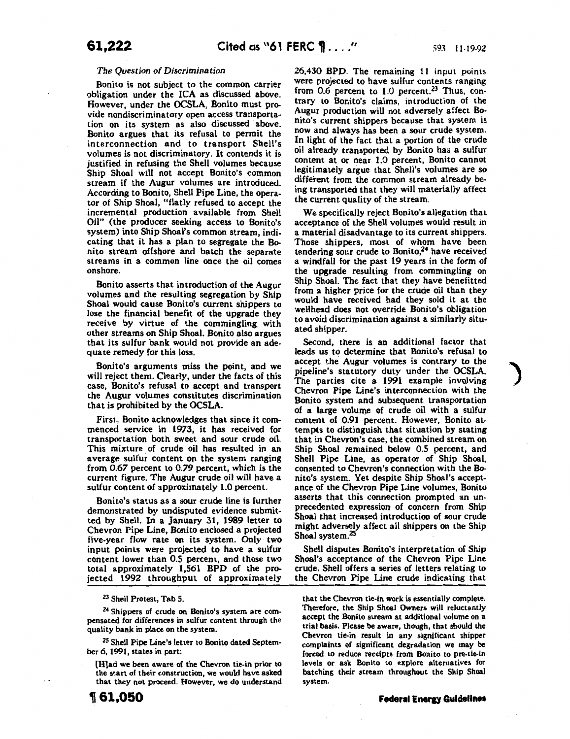#### *The Question of Discrimination*

Bonito is not subject to the common carrier obligation under the ICA as discussed above. However, under the OCSLA, Bonito must provide nondiscriminatory open access transportation on its system as also discussed above. Bonito argues that its refusal to permit the interconnection and to transport Shell's volumes is not discriminatory. It contends it is justified in refusing the Shell volumes because Ship Shoal will not accept Bonito's common stream if the Augur volumes are introduced. According to Bonito, Shell Pipe Line, the operator of Ship Shoal, "flatly refused to accept the incremental production available from Shell Oil" (the producer seeking access to Bonito's system) into Ship Shoal's common stream, indicating that it has a plan to segregate the Bonito stream offshore and batch the separate streams in a common line once the oil comes onshore.

Bonito asserts that introduction of the Augur volumes and the resulting segregation by Ship Shoal would cause Bonito's current shippers to lose the financial benefit of the upgrade they receive by virtue of the commingling. with other streams on Ship Shoal. Bonito also argues that its sulfur bank would not provide an adequate remedy for this loss.

Bonito's arguments miss the point, and we will reject them. Clearly, under the facts of this case, Bonito's refusal to accept and transport the Augur volumes constitutes discrimination that is prohibited by the OCSLA.

First, Bonito acknowledges that since it commenced service in 1973, it has received for transportation both sweet and sour crude oil. This mixture of crude oil has resulted in an average sulfur content on the system ranging from *0.67* percent to *0.79* percent, which is the current figure. The Augur crude oil will have a sulfur content of approximately 1.0 percent.

Bonito's status as a sour crude line is further demonstrated by undisputed evidence submitted by Shell. In a January 31, 1989 letter to Chevron Pipe Line, Bonito enclosed a projected five-year flow rate on its system. Only two input points were projected to have a sulfur content lower than 0.5 percent, and those two total approximately 1,561 BPD of the projected 1992 throughput of approximately

<sup>23</sup> Shell Protest, Tab 5.

<sup>24</sup> Shippers of crude on Bonito's system are compensated for differences in sulfur content through the quality bank in place on the system.

<sup>25</sup> Shell Pipe Line's letter to Bonito dated September 6, 1991, states in part:

{H}ad we been aware of the Chevron tie-in prior to the start of their construction, we would have asked that they not proceed. However, we do understand 26,430 BPD. The remaining 11 input points were projected to have sulfur contents ranging from 0.6 percent to 1.0 percent.<sup>23</sup> Thus, contrary to Bonito's claims, introduction of the Augur production will not adversely affect Bonito's current shippers because that system is now and always has been a sour crude system. In light of the fact that a portion of the crude oil already transported by Bonito has a sulfur content at or near 1.0 percent, Bonito cannot legitimately argue that Shell's volumes are so different from the common stream already being transported that they will materially aifect the current quality of the stream.

We specifically reject Bonito's allegation that acceptance of the Shell volumes would result in a material disadvantage to its current shippers. Those shippers, most of whom have been tendering sour crude to Bonito, $24$  have received a windfall for the past 19 years in the form of the upgrade resulting from commingling on Ship Shoal. The fact that they have benefitted from a higher price for the crude oil than they would have received had they sold it at the wellhead does not override Bonito's obligation to avoid discrimination against a similarly situated shipper.

Second, there is an additional factor that leads us to determine that Bonito's refusal to accept the Augur volumes is contrary to the pipeline's statutory duty under the OCSLA. The parties cite a 1991 example involving Chevron Pipe Line's interconnection with the Bonito system and subsequent transportation of a large volume of crude oil with a sulfur content of 0.91 percent. However, Bonito attempts to distinguish that situation by stating that in Chevron's case, the combined stream on Ship Shoal remained below 0.5 percent, and Shell Pipe Line, as operator of Ship Shoal, consented to Chevron's connection with the Bonito's system. Yet despite Ship Shoal's acceptance of the Chevron Pipe Line volumes, Bonito asserts that this connection prompted an unprecedented expression of concern from Ship Shoal that increased introduction of sour crude might adversely affect all shippers on the Ship Shoal system.<sup>25</sup>

Shell disputes Bonito's interpretation of Ship Shoal's acceptance of the Chevron Pipe Line crude. Shell offers a series of letters relating to the Chevron Pipe Line crude indicating that

that the Chevron tie-in work is essentially complete. Therefore, the Ship Shoal Owners will reluctantly accept the Bonito stream at additional volume on a trial basis. Please be aware, though, that should the Chevron tie-in result in any significant shipper complaints of significant degradation we may be forced to reduce receipts from Bonito to pre-tie-in levels or ask Bonito to explore alternatives for hatching their stream throughout the Ship Shoal system.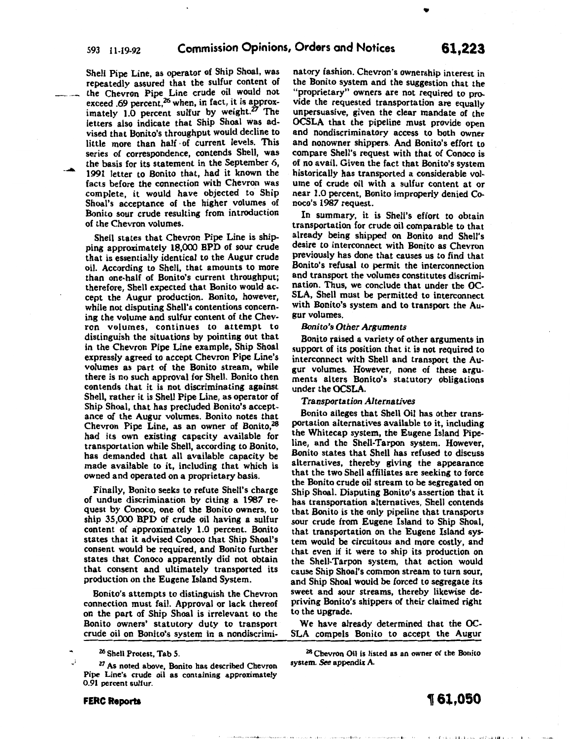Shell Pipe Line, as operator of Ship Shoal, was repeatedly assured that the sulfur content of the Chevron Pipe Line crude oil would not exceed .69 percent, $^{26}$  when, in fact, it is approximately 1.0 percent sulfur by weight. $27$  The letters also indicate that Ship Shoal was advised that Bonito's throughput would decline to little more than half ·of current levels. This series of correspondence, contends Shell, was the basis for its statement in the September 6, 1991 letter to Bonito that, had it known the facts before the connection with Chevron was complete, it would have objected to Ship Shoal's acceptance of the higher volumes of Bonito sour crude resulting from introduction of the Chevron volumes.

Shell states that Chevron Pipe Line is shipping approximately 18,000 BPD of sour crude that is essentially identical to the Augur crude oil. According to Shell, that amounts to more than one-half of Bonito's current throughput; therefore, Shell expected that Bonito would accept the Augur production. Bonito, however, while not disputing Shell's contentions concerning the volume and sulfur content of the Chevron volumes, continues to attempt to distinguish the situations by pointing out that in the Chevron Pipe Line example, Ship Shoal expressly agreed to accept Chevron Pipe Line's volumes as part of the Bonito stream, while there is no such approval for Shell. Bonito then contends that it is not discriminating against Shell, rather it is Shell Pipe Line, as operator of Ship Shoal, that has precluded Bonito's acceptance of the Augur volumes. Bonito notes that Chevron Pipe Line, as an owner of Bonito,<sup>28</sup> had its own existing capacity available for transportation while Shell, according to Bonito, has demanded that all available capacity be made available to it, including that which is owned and operated on a proprietary basis.

Finally, Bonito seeks to refute Shell's charge of undue discrimination by citing a 1987 request by Conoco, one of the Bonito owners, to ship 35,000 BPD of crude oil having a sulfur content of approximately 1.0 percent. Bonito states that it advised Conoco that Ship Shoal's consent would be required, and Bonito further states that Conoco apparently did not obtain that consent and ultimately transported its production on the Eugene Island System.

Bonito's attempts to distinguish the Chevron connection must fail. Approval or lack thereof on the part of Ship Shoal is irrelevant to the Bonito owners' statutory duty to transport crude oil on Bonito's system in a nondiscrimi-

<sup>26</sup> Shell Protest, Tab 5

FERC Reports

*.•* )

<sup>27</sup> As noted above, Bonito has described Chevron Pipe Line's crude oil as containing approximately 0.91 percent sulfur.

natory fashion. Chevron's ownership interest in the Bonito system and the suggestion that the "proprietary" owners are not required to provide the requested transportation are equally unpersuasive, given the clear mandate of the OCSLA that the pipeline must provide open and nondiscriminatory access to both owner and nonowner shippers. And Bonito's effort to compare Shell's request with that of Conoco is of no avail. Given the fact that Bonito's system historically has transported a considerable volume of crude oil with a sulfur content at or near 1.0 percent, Bonito improperly denied Conoco's 1987 request.

In summary, it is Shell's effort to obtain transportation for crude oil comparable to that already being shipped on Bonito and Shell's desire to interconnect with Bonito as Chevron previously has done that causes us to find that Bonito's refusal to permit the interconnection and transport the volumes constitutes discrimination. Thus, we conclude that under the OC-SLA, Shell must be permitted to interconnect with Bonito's system and to transport the Augur volumes.

## *Bonito's Other Arguments*

Bonito raised a variety of other arguments in support of its position that it is not required to interconnect with Shell and transport the Augur volumes. However, none of these arguments alters Bonito's statutory obligations under the OCSLA.

#### *Transportation Alternatives*

Bonito alleges that Shell Oil has other transportation alternatives available to it, including the Whitecap system, the Eugene Island Pipeline, and the Shell-Tarpon system. However, Bonito states that Shell has refused to discuss alternatives, thereby giving the appearance that the two Shell affiliates are seeking to force the Bonito crude oil stream to be segregated on Ship Shoal. Disputing Bonito's assertion that it has transportation alternatives, Shell contends that Bonito is the only pipeline that transports sour crude from Eugene Island to Ship Shoal, that transportation on the Eugene Island system would be circuitous and more costly, and that even if it were to ship its production on the Shell-Tarpon system, that action would cause Ship Shoal's common stream to turn sour, and Ship Shoal would be forced to segregate its sweet and sour streams, thereby likewise depriving Bonito's shippers of their claimed right to the upgrade.

We have already determined that the OC-SLA compels Bonito to accept the Augur

>H ,,,,.j," I

system. *See* appendix A

<sup>28</sup> Chevron Oil is listed as an owner of the Bonito

•

 $\sim 0.04$  and  $\sim 0.44 \times 1$  and an analytical policy of  $\sim 0.01$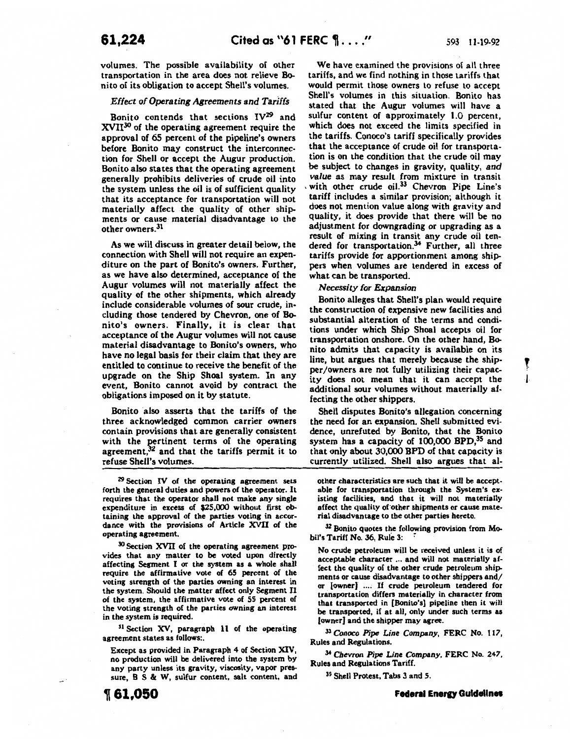T l

volumes. The possible availability of other transportation in the area does not relieve Bonito of its obligation to accept Shell's volumes.

#### Effect of Operating Agreements and Tariffs

Bonito contends that sections  $IV^{29}$  and XVII30 of the operating agreement require the approval of 65 percent of the pipeline's owners before Bonito may construct the interconnection for Shell or accept the Augur production. Bonito also states that the operating agreement generally prohibits deliveries of crude oil into the system unless the oil is of sufficient quality that its acceptance for transportation will not materially affect the quality of other ship. ments or cause material disadvantage to the other owners.31

As we will discuss in greater detail below, the connection with Shell will not require an expenditure on the part of Bonito's owners. Further, as we have also determined, acceptance of the Augur volumes will not materially affect the quality of the other shipments, which already include considerable volumes of sour crude, including those tendered by Chevron, one of Bonito's owners. Finally, it is clear that acceptance of the Augur volumes will not cause material disadvantage to Bonito's owners, who have no legal basis for their claim that they are entitled to continue to receive the benefit of the upgrade on the Ship Shoal system. In any event, Bonito cannot avoid by contract the obligations imposed on it by statute.

Bonito also asserts that the tariffs of the three acknowledged common carrier owners contain provisions that are generally consistent with the pertinent terms of the operating agreement,32 and that the tariffs permit it to refuse Shell's volumes.

<sup>29</sup> Section IV of the operating agreement sets forth the general duties and powers of the operator. It requires that the operator shall not make any single expenditure in excess of \$25,000 without first obtaining the approval of the parties voting in accordance with the provisions of Article XVII of the operating agreement.

<sup>30</sup> Section XVII of the operating agreement provides that any matter to be voted upon directly affecting Segment I or the system as a whole shall require the affirmative vote of 65 percent of the voting strength of the parties owning an interest in the system. Should the matter affect only Segment II of the system, the affirmative vote of 55 percent of the voting strength of the parties owning an interest in the system is required.

<sup>31</sup> Section XV, paragraph 11 of the operating agreement states as follows:.

Except as provided in Paragraph 4 of Section XIV, no production will be delivered into the system by any party unless its gravity, viscosity, vapor pressure, 8 S & W, sulfur content, salt content, and

~61,050

We have examined the provisions of all three tariffs, and we find nothing in those tariffs that would permit those owners to refuse to accept Shell's volumes in this situation. Bonito has stated that the Augur volumes will have a sulfur content of approximately 1.0 percent, which does not exceed the limits specified in the tariffs. Conoco's tariff specifically provides that the acceptance of crude oil for transportation is on the condition that the crude oil may be subject to changes in gravity, quality, and value as may result from mixture in transit with other crude oil.<sup>33</sup> Chevron Pipe Line's tariff includes a similar provision; although it does not mention value along with gravity and quality, it does provide that there will be no adjustment for downgrading or upgrading as a result of mixing in transit any crude oil tendered for transportation.<sup>34</sup> Further, all three tariffs provide for apportionment among shippers when volumes are tendered in excess of what can be transported.

Necessity for Expansion

Bonito alleges that Shell's plan would require the construction of expensive new facilities and substantial alteration of the terms and conditions under which Ship Shoal accepts oil for transportation onshore. On the other hand, Bonito admits that capacity is available on its line, but argues that merely because the shipper/owners are not fully utilizing their capacity does not mean that it can accept the additional sour volumes without materially affecting the other shippers.

Shell disputes Bonito's allegation concerning the need for an expansion. Shell submitted evidence, unrefuted by Bonito, that the Bonito system has a capacity of  $100,000$  BPD,<sup>35</sup> and that only about 30,000 BPD of that capacity is currently utilized. Shell also argues that al-

other characteristics are such that it will be acceptable for transportation through the System's existing facilities, and that it will not materially affect the quality of other shipments or cause material disadvantage to the other parties hereto.

<sup>32</sup> Bonito quotes the following provision from Mobil's Tariff No. 36, Rule 3:

No crude petroleum will be received unless it is of acceptable character ... and will not materially affect the quality of the other crude petroleum ship. ments or cause disadvantage to other shippers and/ or [owner] .... If crude petroleum tendered for transportation differs materially in character from that transported in [Bonito's) pipeline then it will be transported, if at all, only under such terms as [owner) and the shipper may agree.

33 *Conoco Pipe Line Company,* FERC No. 117, Rules and Regulations.

34 *Chevron Pipe Line Company,* FERC No. 247, Rules and Regulations Tariff.

35 Shell Protest, Tabs 3 and 5.

**Federal Energy Guidelines**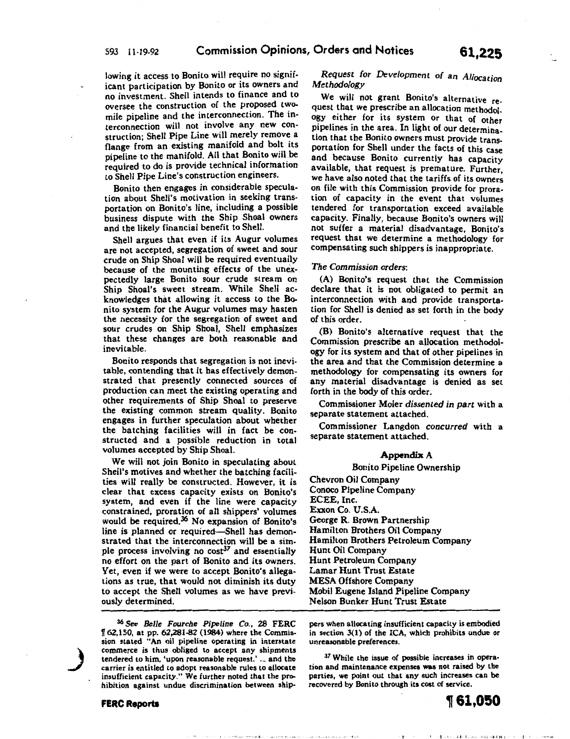lowing it access to Bonito will require no significant participation by Bonito or its owners and no investment. Shell intends to finance and to oversee the construction of the proposed twomile pipeline and the interconnection. The interconnection will not involve any new construction; Shell Pipe Line will merely remove a flange from an existing manifold and bolt its pipeline to the manifold. All that Bonito will.be required to do is provide technical information to Shell Pipe Line's construction engineers.

Bonito then engages in considerable speculation about Shell's motivation in seeking transportation on Bonito's line, including a possible business dispute with the Ship Shoal owners and the likely financial benefit to Shell.

Shell argues that even if its Augur volumes are not accepted, segregation of sweet and sour crude on Ship Shoal will be required eventually because of the mounting effects of the unexpectedly large Bonito sour crude stream on Ship Shoal's sweet stream. While Shell acknowledges that allowing it access to the Bonito system for the Augur volumes may hasten the necessity for the segregation of sweet and sour crudes on Ship Shoal, Shell emphasizes that these changes are both reasonable and inevitable.

Bonito responds that segregation is not inevitable, contending that it has effectively demonstrated that presently connected sources of production can meet the existing operating and other requirements of Ship Shoal to preserve the existing common stream quality. Bonito engages in further speculation about whether the hatching facilities will in fact be constructed and a possible reduction in total volumes accepted by Ship Shoal.

We will not join Bonito in speculating about Shell's motives and whether the hatching facilities will really be constructed. However, it is clear that excess capacity exists on Bonito's system, and even if the line were capacity constrained, proration of all shippers' volumes would be required.<sup>36</sup> No expansion of Bonito's line is planned or required-Shell has demonstrated that the interconnection will be a simple process involving no  $cost^{37}$  and essentially no effort on the part of Bonito and its owners. Yet, even if we were to accept Bonito's allegations as true, that would not diminish its duty to accept the Shell volumes as we have previously determined.

36 See *Belle Fourche Pipeline* Co., 28 FERC 1T 62,150, at pp. 62,281-82 (1984) where the Commission stated "An oil pipeline operating in interstate commerce is thus obliged to accept any shipments tendered to him, 'upon reasonable request.' ... and the carrier is entitled to adopt reasonable rules to allocate insufficient capacity." We further noted that the prohibition against undue discrimination between ship-

contract of a confession

# *Request for Development of* an *Allocation Methodology*

We will not grant Bonito's alternative request that we prescribe an allocation methodol. ogy either for its system or that of other pipelines in the area. In light of our determination that the Bonito owners must provide transportation for Shell under the facts of this case and because Bonito currently has capacity available, that request is premature. Further, we have also noted that the tariffs of its owners on file with this Commission provide for proration of capacity in the event that volumes tendered for transportation exceed available capacity. Finally, because Bonito's owners will not suffer a material disadvantage, Bonito's request that we determine a methodology for compensating such shippers is inappropriate.

#### *The Commission orders:*

(A) Bonito's request that the Commission declare that it is not obligated to permit an interconnection with and provide transportation for Shell is denied as set forth in the body of this order.

(B) Bonito's alternative request that the Commission prescribe an allocation methodology for its system and that of other pipelines in the area and that the Commission determine a methodology for compensating its owners for any material disadvantage is denied as set forth in the body of this order.

Commissioner Moler *dissented in part* with a separate statement attached.

Commissioner Langdon *concurred* with a separate statement attached.

#### Appendix A

#### Bonito Pipeline Ownership

Chevron Oil Company Conoco Pipeline Company ECEE, Inc. Exxon Co. U.S.A. George R. Brown Partnership Hamilton Brothers Oil Company Hamilton Brothers Petroleum Company Hunt Oil Company Hunt Petroleum Company Lamar Hunt Trust Estate MESA Offshore Company Mobil Eugene Island Pipeline Company Nelson Bunker Hunt Trust Estate

pers when allocating insufficient capacity is embodied in section 3(1) of the ICA, which prohibits undue or unreasonable preferences.

<sup>37</sup> While the issue of possible increases in operation and maintenance expenses was not raised by the parties, we point out that any such increases can be recovered by Bonito through its cost of service.

计长口

)<br>اس

- 4 - C || mini 2 c 4 40 day 2016 - 2016 - 2014 || H ( p = 1 = 1 = 1 + 1 + 1 = 1 +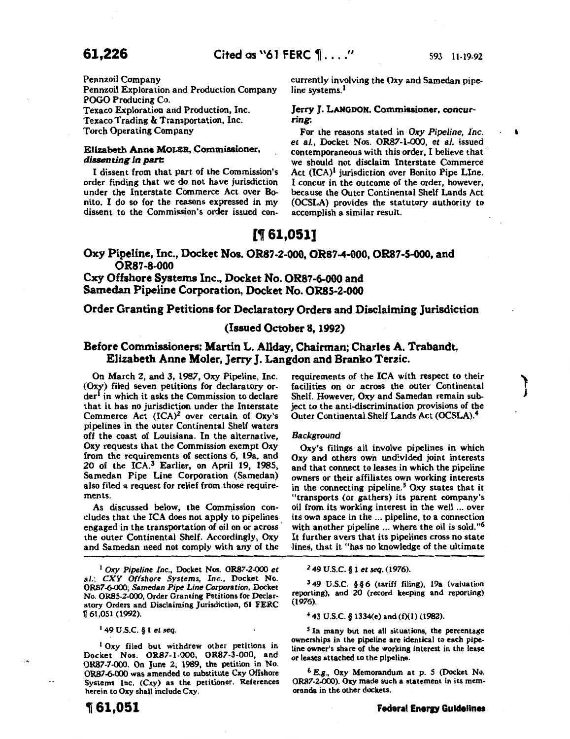**A** 

 $\begin{bmatrix} 1 & 1 \\ 1 & 1 \end{bmatrix}$ 

Pennzoil Company

Pennzoil Exploration and Production Company POGO Producing Co. Texaco Exploration and Production, Inc. Texaco Trading & Transportation, Inc.

Torch Operating Company

### Elizabeth Anne MOLER, Commissioner, *dissenting in part:*

I dissent from that part of the Commission's order finding that we do not have jurisdiction under the Interstate Commerce Act over Bonito. I do so for the reasons expressed in my dissent to the Commission's order issued concurrently involving the Oxy and Samedan pipeline systems.<sup>1</sup>

#### Jerry J. LANGDON, Commissioner, *concurring:*

For the reasons stated in *Oxy Pipeline, Inc. et al.,* Docket Nos. OR87-l-OOO, *et al.* issued contemporaneous with this order, I believe that we should not disclaim Interstate Commerce Act (ICA)<sup>1</sup> jurisdiction over Bonito Pipe LIne. I concur in the outcome of the order, however, because the Outer Continental Shelf Lands Act (OCSLA) provides the statutory authority to accomplish a similar result.

# [t 61,051]

# Oxy Pipeline, Inc., Docket Nos. OR87-2-000, OR87-4-000, OR87-5-000, and OR87-8-000

Cxy Offshore Systems Inc., Docket No. OR87-6-000 and Samedan Pipeline Corporation, Docket No. ORSS-2-000

# Order Granting Petitions for Declaratory Orders and Disclaiming Jurisdiction

## (Issued October 8, 1992)

# Before Commissioners: Martin L. Allday, Chairman; Charles A. Trabandt, Elizabeth Anne Moler, Jerry J. Langdon and Branko Terzic.

On March 2, and 3, 1987, Oxy Pipeline, Inc.  $(Oxy)$  filed seven petitions for declaratory or $der<sup>1</sup>$  in which it asks the Commission to declare that it has no jurisdiction under the Interstate Commerce Act  $(ICA)^2$  over certain of Oxy's pipelines in the outer Continental Shelf waters off the coast of Louisiana. In the alternative, Oxy requests that the Commission exempt Oxy from the requirements of sections 6, 19a, and 20 of the ICA.3 Earlier, on April 19, 1985, Samedan Pipe Line Corporation (Samedan) also filed a request for relief from those requirements.

As discussed below, the Commission concludes that the ICA does not apply to pipelines engaged in the transportation of oil on or across ' the outer Continental Shelf. Accordingly, Oxy and Samedan need not comply with any of the

1 *Oxy Pipeline Inc.,* Docket Nos. OR87-2-000 *et*  a/.; *CXY Offshore Systems, Inc.,* Docket No. OR87 -6-000; *Ssmedan Pipe Line Corporation,* Docket No. ORSS-2-000, Order Granting Petitions for Declaratory Orders and Disclaiming Jurisdiction, 61 FERC w 61,051 (1992).

149 U.S.C. § 1 *et seq.* 

<sup>1</sup> Oxy filed but withdrew other petitions in Docket Nos. OR87-1-000, OR87-3-000, and OR87-7-000. On June 2, 1989, the petition in No. OR87 -6-000 was amended to substitute Cxy Offshore Systems Inc. (Cxy) as the petitioner. References herein to Oxy shall include Cxy.

requirements of the ICA with respect to their facilities on or across the outer Continental Shelf. However, Oxy and Samedan remain subject to the anti-discrimination provisions of the Outer Continental Shelf Lands Act (OCSLA).<sup>4</sup>

#### *Background*

Oxy's filings all involve pipelines in which Oxy and others own undivided joint interests and that connect to leases in which the pipeline owners or their affiliates own working interests in the connecting pipeline. $5$  Oxy states that it "transports (or gathers) its parent company's oil from its working interest in the well ... over its own space in the ... pipeline, to a connection with another pipeline ... where the oil is sold."<sup>6</sup> It further avers that its pipelines cross no state lines, that it "has no knowledge of the ultimate

2 49 U.S.C. § 1 *et seq.* (1976).

3 49 U.S.C. § § 6 (tariff filing), 19a (valuation reporting), and 20 (record keeping and reporting) (1976).

<sup>4</sup> 43 U.S.C. § 1334(e) and (f)(1) (1982).

<sup>5</sup> In many but not all situations, the percentage ownerships in the pipeline are identical to each pipeline owner's share of the working interest in the lease or leases attached to the pipeline.

6 E.g., Oxy Memorandum at p. 5 (Docket No. OR87-2-000). Oxy made such a statement in its memoranda in the other dockets.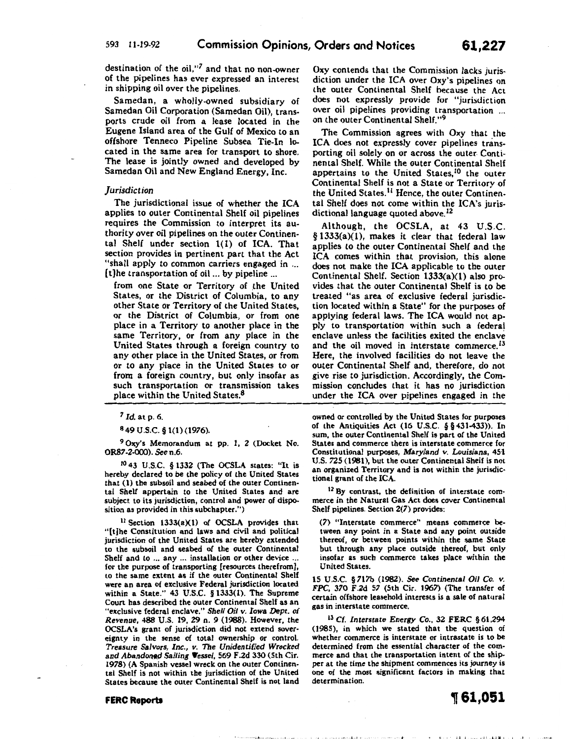destination of the oil,"7 and that no non-owner of the pipelines has ever expressed an interest in shipping oil over the pipelines.

Samedan, a wholly-owned subsidiary of Samedan Oil Corporation (Samedan Oil), transports crude oil from a lease located in the Eugene Island area of the Gulf of Mexico to an offshore Tenneco Pipeline Subsea Tie-In located in the same area for transport to shore. The lease is jointly owned and developed by Samedan Oil and New England Energy, Inc.

#### *jurisdiction*

The jurisdictional issue of whether the ICA applies to outer Continental Shelf oil pipelines requires the Commission to interpret its authority over oil pipelines on the outer Continental Shelf under section 1(1) of ICA. That section provides in pertinent part that the Act "shall apply to common carriers engaged in ... [t]he transportation of oil ... by pipeline ...

from one State or Territory of the United States, or the District of Columbia, to any other State or Territory of the United States, or the District of Columbia, or from one place in a Territory to another place in the same Territory, or from any place in the United States through a foreign country to any other place in the United States, or from or to any place in the United States to or from a foreign country, but only insofar as such transportation or transmission takes place within the United States.<sup>8</sup>

<sup>7</sup>*Id.* at p. 6.

8 49 u.s.c. § 1(1) (1976).

9 Oxy's Memorandum at pp. 1, 2 (Docket No. OR87-2-000). See n.6.

1° 43 U.S.C. § 1332 (The OCSLA states: "It is hereby declared to be the policy of the United States that (1) the subsoil and seabed of the outer Continental Shelf appertain to the United States and are subject to its jurisdiction, control and power of disposition as provided in this subchapter.")

11 Section 1333(a)(1) of OCSLA provides that "[t]he Constitution and laws and civil and political jurisdiction of the United States are hereby extended to the subsoil and seabed of the outer Continental Shelf and to ... any ... installation or other device ... for the purpose of transporting [resources therefrom] to the same extent as if the outer Continental Shelf were an area of exclusive Federal jurisdiction located within a State." 43 U.S.C. § 1333(1). The Supreme Court has described the outer Continental Shelf as an "exclusive federal enclave." *Shell Oil v.* Iowa *Dept. of Revenue, 48B* U.S. 19, 29 n. 9 (1988). However, the OCSLA's grant of jurisdiction did not extend sovereignty in the sense of total ownership or control. *Treasure Salvors, Inc., v. The Unidentified Wrecked*  and *Abandoned Sailing Vessel*, 569 F.2d 330 (5th Cir. 1978) (A Spanish vessel wreck on the outer Continental Shelf is not within the jurisdiction of the United States because the outer Continental Shelf is not land Oxy contends that the Commission lacks jurisdiction under the ICA over Oxy's pipelines on the outer Continental Shelf because the Act does not expressly provide for "jurisdiction over oil pipelines providing transportation ... on the outer Continental Shelf."<sup>9</sup>

The Commission agrees with Oxy that the ICA does not expressly cover pipelines transporting oil solely on or across the outer Continental Shelf. While the outer Continental Shelf appertains to the United States,<sup>10</sup> the outer Continental Shelf is not a State or Territory of the United States.<sup>11</sup> Hence, the outer Continental Shelf does not come within the ICA's jurisdictional language quoted above.<sup>12</sup>

Although, the OCSLA, at 43 U.S.C. § 1333(a)(l), makes it clear that federal law applies to the outer Continental Shelf and the ICA comes within that provision, this alone does not make the ICA applicable to the outer Continental Shelf. Section 1333(a)(l) also provides that the outer Continental Shelf is to be treated "as area of exclusive federal jurisdiction located within a State" for the purposes of applying federal laws. The ICA would not apply to transportation within such a federa' enclave unless the facilities exited the enclave and the oil moved in interstate commerce.<sup>13</sup> Here, the involved facilities do not leave the outer Continental Shelf and, therefore, do not give rise to jurisdiction. Accordingly, the Commission concludes that it has no jurisdiction under the ICA over pipelines engaged in the

owned or controlled by the United States for purposes of the Antiquities Act (16 U.S.C. § § 431-433)). In sum, the outer Continental Shelf is part of the United States and commerce there is interstate commerce for Constitutional purposes, Maryland *v.* Louisiana, 451 U.S. 725 (1981), but the outer Continental Shelf is not an organized Territory and is not within the jurisdictional grant of the ICA.

<sup>12</sup> By contrast, the definition of interstate commerce in the Natural Gas Act does cover Continental Shelf pipelines. Section 2(7) provides:

(7) "Interstate commerce" means commerce between any point in a State and any point outside thereof, or between points within the same State but through any place outside thereof, but only insofar as such commerce takes place within the United States.

15 U.S.C. § 717b (1982). See *Continental Oil Co. v.*  FPC, 370 F.2d 57 (5th Cir. 1967) (The transfer of certain offshore leasehold interests is a sale of natural gas in interstate commerce.

13 Cf. *Interstate Energy* Co., 32 FERC §61,294 (1985), in which we stated that the question of whether commerce is interstate or intrastate is to be determined from the essential character of the commerce and that the transportation intent of the shipper at the time the shipment commences its journey is one of the most significant factors in making that determination.



II I "'II ~ ~~ I I ·t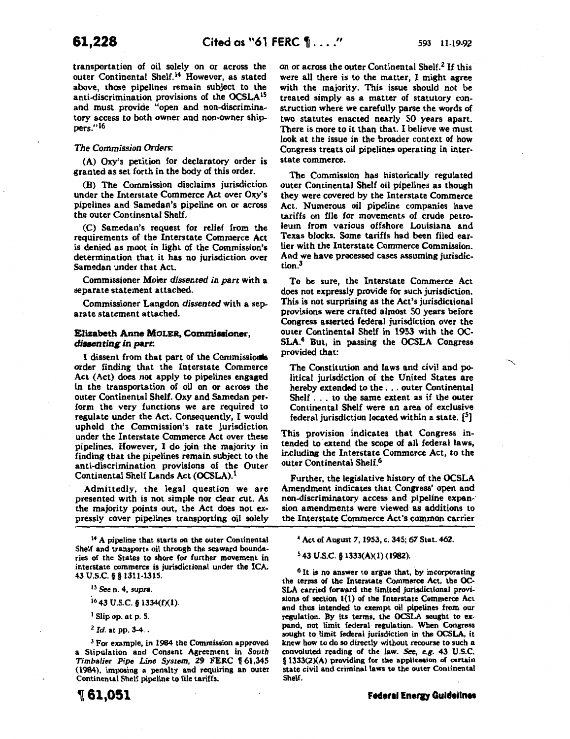transportation of oil solely on or across the outer Continental Shelf.14 However, as stated above, those pipelines remain subject to the anti-discrimination provisions of the OCSLAIS and must provide "open and non-discriminatory access to both owner and non-owner ship-

#### *The Commission Orders:*

(A) Oxy's petition for declaratory order is granted as set forth in the body of this order.

(B) The Commission disclaims jurisdiction under the Interstate Commerce Act over Oxy's pipelines and Samedan's pipeline on or across the outer Continental Shelf.

(C) Samedan's request for relief from the requirements of the Interstate Commerce Act is denied as moot in light of the Commission's determination that it has no jurisdiction over Samedan under that Act.

Commissioner Moler *dissented in part* with a separate statement attached.

Commissioner Langdon *dissented* with a separate statement attached.

### Elizabeth Anne MOLER, Commissioner, dissenting in part:

I dissent from that part of the Commissions order finding that the Interstate Commerce Act (Act) does not apply to pipelines engaged in the transportation of oil on or across the outer Continental Shelf. Oxy and Samedan perform the very functions we are required to regulate under the Act. Consequently, I would uphold the Commission's rate jurisdiction under the Interstate Commerce Act over these pipelines. However, I do join the majority in finding that the pipelines remain subject to the anti-discrimination provisions of the Outer Continental Shelf Lands Act (OCSLA).<sup>I</sup>

Admittedly, the legal question we are presented with is not simple nor clear cut. As the majority points out, the Act does not expressly cover pipelines transporting oil solely

14 A pipeline that starts on the outer Continental Shelf and transports oil through the seaward boundaries of the States to shore for further movement in interstate commerce is jurisdictional under the ICA. 43 u.s.c. § § 1311-1315.

IS *Seen.* 4, supra.

1643 u.s.c. § 1334({)(1).

1 Slip op. at p. 5.

<sup>2</sup>*Id.* at pp. 3-4 ..

3 For example, in 1984 the Commission approved a Stipulation and Consent Agreement in *South*  Timbalier Pipe Line System, 29 FERC 161,345 (1984), imposing a penalty and requiring an outer Continental Shelf pipeline to file tariffs.

, 61,051

on or across the outer Continental Shelf.<sup>2</sup> If this were all there is to the matter, I might agree with the majority. This issue should not be treated simply as a matter of statutory construction where we carefully parse the words of two statutes enacted nearly 50 years apart. There is more to it than that. I believe we must look at the issue in the broader context of how Congress treats oil pipelines operating in interstate commerce.

The Commission has historically regulated outer Continental Shelf oil pipelines as though they were covered by the Interstate Commerce Act. Numerous oil pipeline companies have tariffs on file for movements of crude petroleum from various offshore Louisiana and Texas blocks. Some tariffs had been filed earlier with the Interstate Commerce Commission. And we have processed cases assuming jurisdiction.3

To be sure, the Interstate Commerce Act does not expressly provide for such jurisdiction. This is not surprising as the Act's jurisdictional provisions were crafted almost SO years before Congress asserted federal jurisdiction over the outer Continental Shelf in 1953 with the OC-SLA.4 But, in passing the OCSLA Congress provided that:

The Constitution and laws and civil and political jurisdiction of the United States are hereby extended to the ... outer Continental Shelf . . . to the same extent as if the outer Continental Shelf were an area of exclusive federal jurisdiction located within a state.  $[5]$ 

This provision indicates that Congress intended to extend the scope of all federal laws, including the Interstate Commerce Act, to the outer Continental Shelf.6

Further, the legislative history of the OCSLA Amendment indicates that Congress' open and non-discriminatory access and pipeline expan-· sion amendments were viewed as additions to the Interstate Commerce Act's common carrier

<sup>4</sup>Act of August 7, 1953, c. 345; 67 Stat. 462.

5 43 U.S.C. § 1333(A)(l) (1982).

<sup>6</sup> It is no answer to argue that, by incorporating the terms of the Interstate Commerce Act, the OC-SLA carried forward the limited jurisdictional provisions of section 1(1) of the Interstate Commerce Act and thus intended to exempt oil pipelines from our regulation. By its terms, the OCSLA sought to expand, not limit federal regulation. When Congress sought to limit federal jurisdiction in the OCSLA, it knew how to do so directly without recourse to such a convoluted reading of the law. See, e.g. 43 U.S.C. § 1333(2)(A) providing for the application of certain state civil and criminal laws to the outer Continental Shelf.

·--....

pers."<sup>16</sup>